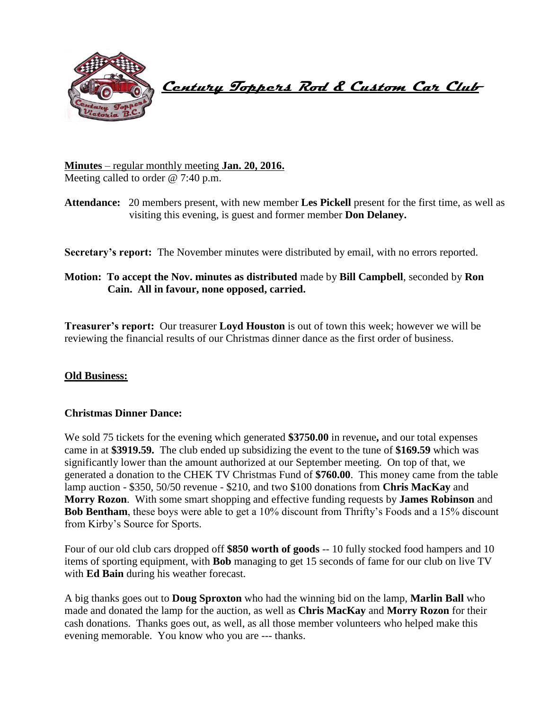

 **Century Toppers Rod & Custom Car Club** 

**Minutes** – regular monthly meeting **Jan. 20, 2016.** Meeting called to order @ 7:40 p.m.

**Attendance:** 20 members present, with new member **Les Pickell** present for the first time, as well as visiting this evening, is guest and former member **Don Delaney.**

**Secretary's report:** The November minutes were distributed by email, with no errors reported.

# **Motion: To accept the Nov. minutes as distributed** made by **Bill Campbell**, seconded by **Ron Cain. All in favour, none opposed, carried.**

**Treasurer's report:** Our treasurer **Loyd Houston** is out of town this week; however we will be reviewing the financial results of our Christmas dinner dance as the first order of business.

## **Old Business:**

## **Christmas Dinner Dance:**

We sold 75 tickets for the evening which generated **\$3750.00** in revenue**,** and our total expenses came in at **\$3919.59.** The club ended up subsidizing the event to the tune of **\$169.59** which was significantly lower than the amount authorized at our September meeting. On top of that, we generated a donation to the CHEK TV Christmas Fund of **\$760.00**. This money came from the table lamp auction - \$350, 50/50 revenue - \$210, and two \$100 donations from **Chris MacKay** and **Morry Rozon**. With some smart shopping and effective funding requests by **James Robinson** and **Bob Bentham**, these boys were able to get a 10% discount from Thrifty's Foods and a 15% discount from Kirby's Source for Sports.

Four of our old club cars dropped off **\$850 worth of goods** -- 10 fully stocked food hampers and 10 items of sporting equipment, with **Bob** managing to get 15 seconds of fame for our club on live TV with **Ed Bain** during his weather forecast.

A big thanks goes out to **Doug Sproxton** who had the winning bid on the lamp, **Marlin Ball** who made and donated the lamp for the auction, as well as **Chris MacKay** and **Morry Rozon** for their cash donations. Thanks goes out, as well, as all those member volunteers who helped make this evening memorable. You know who you are --- thanks.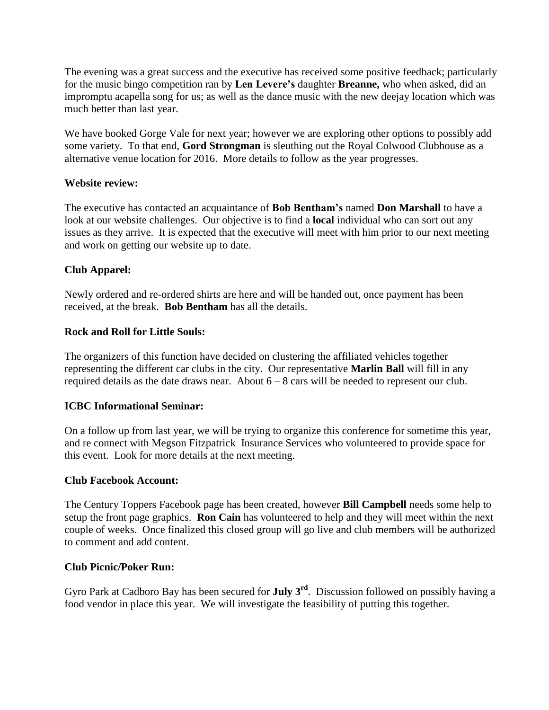The evening was a great success and the executive has received some positive feedback; particularly for the music bingo competition ran by **Len Levere's** daughter **Breanne,** who when asked, did an impromptu acapella song for us; as well as the dance music with the new deejay location which was much better than last year.

We have booked Gorge Vale for next year; however we are exploring other options to possibly add some variety. To that end, **Gord Strongman** is sleuthing out the Royal Colwood Clubhouse as a alternative venue location for 2016. More details to follow as the year progresses.

## **Website review:**

The executive has contacted an acquaintance of **Bob Bentham's** named **Don Marshall** to have a look at our website challenges. Our objective is to find a **local** individual who can sort out any issues as they arrive. It is expected that the executive will meet with him prior to our next meeting and work on getting our website up to date.

## **Club Apparel:**

Newly ordered and re-ordered shirts are here and will be handed out, once payment has been received, at the break. **Bob Bentham** has all the details.

## **Rock and Roll for Little Souls:**

The organizers of this function have decided on clustering the affiliated vehicles together representing the different car clubs in the city. Our representative **Marlin Ball** will fill in any required details as the date draws near. About  $6 - 8$  cars will be needed to represent our club.

## **ICBC Informational Seminar:**

On a follow up from last year, we will be trying to organize this conference for sometime this year, and re connect with Megson Fitzpatrick Insurance Services who volunteered to provide space for this event. Look for more details at the next meeting.

## **Club Facebook Account:**

The Century Toppers Facebook page has been created, however **Bill Campbell** needs some help to setup the front page graphics. **Ron Cain** has volunteered to help and they will meet within the next couple of weeks. Once finalized this closed group will go live and club members will be authorized to comment and add content.

## **Club Picnic/Poker Run:**

Gyro Park at Cadboro Bay has been secured for **July 3rd**. Discussion followed on possibly having a food vendor in place this year. We will investigate the feasibility of putting this together.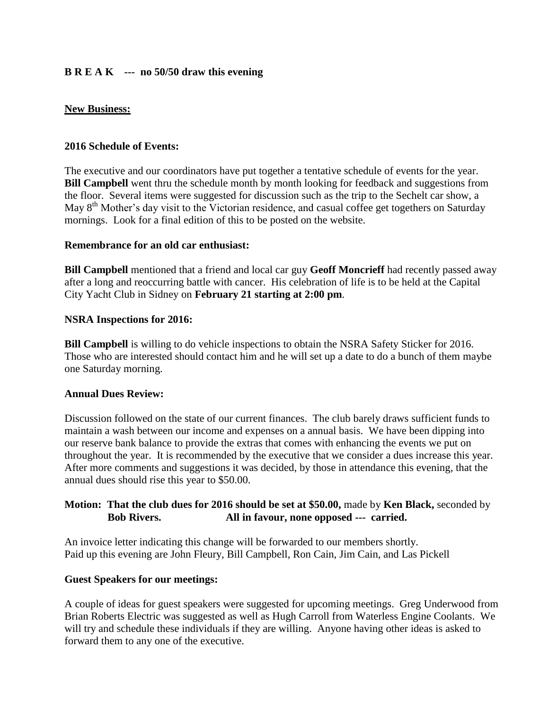# **B R E A K --- no 50/50 draw this evening**

## **New Business:**

## **2016 Schedule of Events:**

The executive and our coordinators have put together a tentative schedule of events for the year. **Bill Campbell** went thru the schedule month by month looking for feedback and suggestions from the floor. Several items were suggested for discussion such as the trip to the Sechelt car show, a May 8<sup>th</sup> Mother's day visit to the Victorian residence, and casual coffee get togethers on Saturday mornings. Look for a final edition of this to be posted on the website.

#### **Remembrance for an old car enthusiast:**

**Bill Campbell** mentioned that a friend and local car guy **Geoff Moncrieff** had recently passed away after a long and reoccurring battle with cancer. His celebration of life is to be held at the Capital City Yacht Club in Sidney on **February 21 starting at 2:00 pm**.

#### **NSRA Inspections for 2016:**

**Bill Campbell** is willing to do vehicle inspections to obtain the NSRA Safety Sticker for 2016. Those who are interested should contact him and he will set up a date to do a bunch of them maybe one Saturday morning.

## **Annual Dues Review:**

Discussion followed on the state of our current finances. The club barely draws sufficient funds to maintain a wash between our income and expenses on a annual basis. We have been dipping into our reserve bank balance to provide the extras that comes with enhancing the events we put on throughout the year. It is recommended by the executive that we consider a dues increase this year. After more comments and suggestions it was decided, by those in attendance this evening, that the annual dues should rise this year to \$50.00.

## **Motion: That the club dues for 2016 should be set at \$50.00,** made by **Ken Black,** seconded by  **Bob Rivers. All in favour, none opposed --- carried.**

An invoice letter indicating this change will be forwarded to our members shortly. Paid up this evening are John Fleury, Bill Campbell, Ron Cain, Jim Cain, and Las Pickell

## **Guest Speakers for our meetings:**

A couple of ideas for guest speakers were suggested for upcoming meetings. Greg Underwood from Brian Roberts Electric was suggested as well as Hugh Carroll from Waterless Engine Coolants. We will try and schedule these individuals if they are willing. Anyone having other ideas is asked to forward them to any one of the executive.